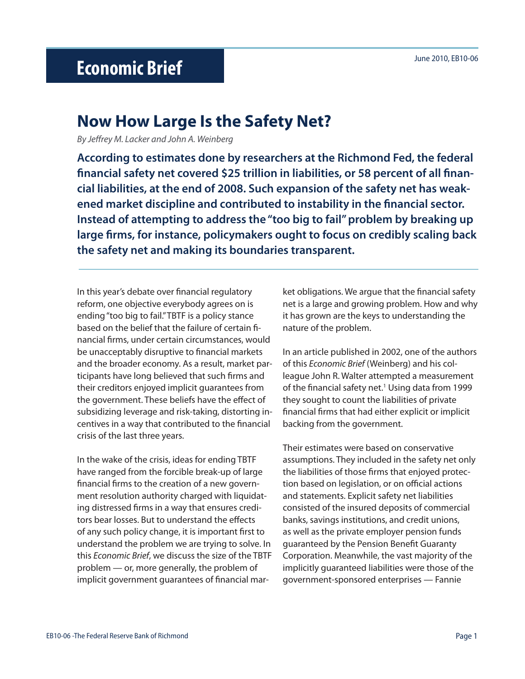## June 2010, EB10-06 **Economic Brief**

## **Now How Large Is the Safety Net?**

*By Jeffrey M. Lacker and John A. Weinberg*

**According to estimates done by researchers at the Richmond Fed, the federal financial safety net covered \$25 trillion in liabilities, or 58 percent of all financial liabilities, at the end of 2008. Such expansion of the safety net has weakened market discipline and contributed to instability in the financial sector. Instead of attempting to address the "too big to fail" problem by breaking up large firms, for instance, policymakers ought to focus on credibly scaling back the safety net and making its boundaries transparent.** 

In this year's debate over financial regulatory reform, one objective everybody agrees on is ending "too big to fail." TBTF is a policy stance based on the belief that the failure of certain financial firms, under certain circumstances, would be unacceptably disruptive to financial markets and the broader economy. As a result, market participants have long believed that such firms and their creditors enjoyed implicit guarantees from the government. These beliefs have the effect of subsidizing leverage and risk-taking, distorting incentives in a way that contributed to the financial crisis of the last three years.

In the wake of the crisis, ideas for ending TBTF have ranged from the forcible break-up of large financial firms to the creation of a new government resolution authority charged with liquidating distressed firms in a way that ensures creditors bear losses. But to understand the effects of any such policy change, it is important first to understand the problem we are trying to solve. In this *Economic Brief*, we discuss the size of the TBTF problem — or, more generally, the problem of implicit government guarantees of financial mar-

ket obligations. We argue that the financial safety net is a large and growing problem. How and why it has grown are the keys to understanding the nature of the problem.

In an article published in 2002, one of the authors of this *Economic Brief* (Weinberg) and his colleague John R. Walter attempted a measurement of the financial safety net.<sup>1</sup> Using data from 1999 they sought to count the liabilities of private financial firms that had either explicit or implicit backing from the government.

Their estimates were based on conservative assumptions. They included in the safety net only the liabilities of those firms that enjoyed protection based on legislation, or on official actions and statements. Explicit safety net liabilities consisted of the insured deposits of commercial banks, savings institutions, and credit unions, as well as the private employer pension funds guaranteed by the Pension Benefit Guaranty Corporation. Meanwhile, the vast majority of the implicitly guaranteed liabilities were those of the government-sponsored enterprises — Fannie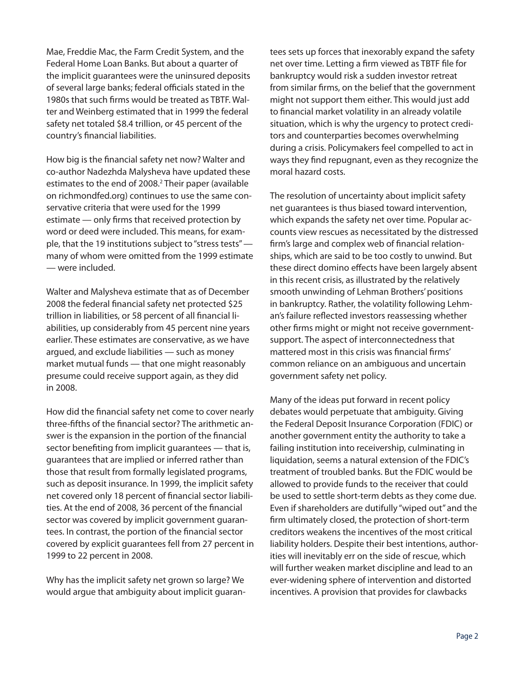Mae, Freddie Mac, the Farm Credit System, and the Federal Home Loan Banks. But about a quarter of the implicit guarantees were the uninsured deposits of several large banks; federal officials stated in the 1980s that such firms would be treated as TBTF. Walter and Weinberg estimated that in 1999 the federal safety net totaled \$8.4 trillion, or 45 percent of the country's financial liabilities.

How big is the financial safety net now? Walter and co-author Nadezhda Malysheva have updated these estimates to the end of 2008.<sup>2</sup> Their paper (available on richmondfed.org) continues to use the same conservative criteria that were used for the 1999 estimate — only firms that received protection by word or deed were included. This means, for example, that the 19 institutions subject to "stress tests" many of whom were omitted from the 1999 estimate — were included.

Walter and Malysheva estimate that as of December 2008 the federal financial safety net protected \$25 trillion in liabilities, or 58 percent of all financial liabilities, up considerably from 45 percent nine years earlier. These estimates are conservative, as we have argued, and exclude liabilities — such as money market mutual funds — that one might reasonably presume could receive support again, as they did in 2008.

How did the financial safety net come to cover nearly three-fifths of the financial sector? The arithmetic answer is the expansion in the portion of the financial sector benefiting from implicit guarantees — that is, guarantees that are implied or inferred rather than those that result from formally legislated programs, such as deposit insurance. In 1999, the implicit safety net covered only 18 percent of financial sector liabilities. At the end of 2008, 36 percent of the financial sector was covered by implicit government guarantees. In contrast, the portion of the financial sector covered by explicit guarantees fell from 27 percent in 1999 to 22 percent in 2008.

Why has the implicit safety net grown so large? We would argue that ambiguity about implicit guarantees sets up forces that inexorably expand the safety net over time. Letting a firm viewed as TBTF file for bankruptcy would risk a sudden investor retreat from similar firms, on the belief that the government might not support them either. This would just add to financial market volatility in an already volatile situation, which is why the urgency to protect creditors and counterparties becomes overwhelming during a crisis. Policymakers feel compelled to act in ways they find repugnant, even as they recognize the moral hazard costs.

The resolution of uncertainty about implicit safety net guarantees is thus biased toward intervention, which expands the safety net over time. Popular accounts view rescues as necessitated by the distressed firm's large and complex web of financial relationships, which are said to be too costly to unwind. But these direct domino effects have been largely absent in this recent crisis, as illustrated by the relatively smooth unwinding of Lehman Brothers' positions in bankruptcy. Rather, the volatility following Lehman's failure reflected investors reassessing whether other firms might or might not receive governmentsupport. The aspect of interconnectedness that mattered most in this crisis was financial firms' common reliance on an ambiguous and uncertain government safety net policy.

Many of the ideas put forward in recent policy debates would perpetuate that ambiguity. Giving the Federal Deposit Insurance Corporation (FDIC) or another government entity the authority to take a failing institution into receivership, culminating in liquidation, seems a natural extension of the FDIC's treatment of troubled banks. But the FDIC would be allowed to provide funds to the receiver that could be used to settle short-term debts as they come due. Even if shareholders are dutifully "wiped out" and the firm ultimately closed, the protection of short-term creditors weakens the incentives of the most critical liability holders. Despite their best intentions, authorities will inevitably err on the side of rescue, which will further weaken market discipline and lead to an ever-widening sphere of intervention and distorted incentives. A provision that provides for clawbacks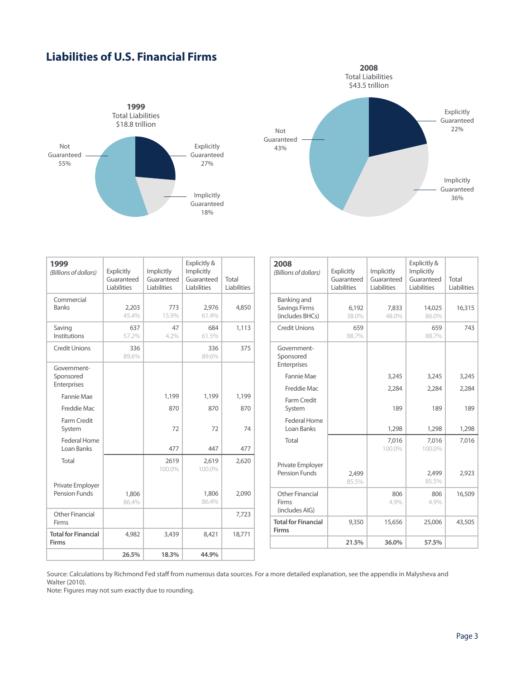## **Liabilities of U.S. Financial Firms**





| 1999<br>(Billions of dollars)              | <b>Explicitly</b><br>Guaranteed<br>Liabilities | Implicitly<br>Guaranteed<br>Liabilities | Explicitly &<br>Implicitly<br>Guaranteed<br>Liabilities | Total<br>Liabilities |
|--------------------------------------------|------------------------------------------------|-----------------------------------------|---------------------------------------------------------|----------------------|
| Commercial<br><b>Banks</b>                 | 2,203<br>45.4%                                 | 773<br>15.9%                            | 2,976<br>61.4%                                          | 4,850                |
| Saving<br>Institutions                     | 637<br>57.2%                                   | 47<br>4.2%                              | 684<br>61.5%                                            | 1,113                |
| <b>Credit Unions</b>                       | 336<br>89.6%                                   |                                         | 336<br>89.6%                                            | 375                  |
| Government-<br>Sponsored<br>Enterprises    |                                                |                                         |                                                         |                      |
| Fannie Mae                                 |                                                | 1,199                                   | 1,199                                                   | 1,199                |
| Freddie Mac                                |                                                | 870                                     | 870                                                     | 870                  |
| Farm Credit<br>System                      |                                                | 72                                      | 72                                                      | 74                   |
| Federal Home<br>Loan Banks                 |                                                | 477                                     | 447                                                     | 477                  |
| Total                                      |                                                | 2619<br>100.0%                          | 2,619<br>100.0%                                         | 2,620                |
| Private Employer<br>Pension Funds          | 1,806<br>86.4%                                 |                                         | 1,806<br>86.4%                                          | 2,090                |
| Other Financial<br>Firms                   |                                                |                                         |                                                         | 7,723                |
| <b>Total for Financial</b><br><b>Firms</b> | 4,982                                          | 3,439                                   | 8,421                                                   | 18,771               |
|                                            | 26.5%                                          | 18.3%                                   | 44.9%                                                   |                      |

| 2008<br>(Billions of dollars)                          | <b>Explicitly</b><br>Guaranteed<br><b>Liabilities</b> | Implicitly<br>Guaranteed<br>Liabilities | Explicitly &<br>Implicitly<br>Guaranteed<br>Liabilities | Total<br>Liabilities |
|--------------------------------------------------------|-------------------------------------------------------|-----------------------------------------|---------------------------------------------------------|----------------------|
| Banking and<br><b>Savings Firms</b><br>(includes BHCs) | 6,192<br>38.0%                                        | 7,833<br>48.0%                          | 14,025<br>86.0%                                         | 16,315               |
| <b>Credit Unions</b>                                   | 659<br>88.7%                                          |                                         | 659<br>88.7%                                            | 743                  |
| Government-<br>Sponsored<br>Enterprises                |                                                       |                                         |                                                         |                      |
| Fannie Mae                                             |                                                       | 3,245                                   | 3,245                                                   | 3,245                |
| Freddie Mac                                            |                                                       | 2,284                                   | 2,284                                                   | 2,284                |
| Farm Credit<br>System                                  |                                                       | 189                                     | 189                                                     | 189                  |
| Federal Home<br>Loan Banks                             |                                                       | 1,298                                   | 1,298                                                   | 1,298                |
| Total                                                  |                                                       | 7.016<br>100.0%                         | 7.016<br>100.0%                                         | 7,016                |
| Private Employer<br><b>Pension Funds</b>               | 2,499<br>85.5%                                        |                                         | 2.499<br>85.5%                                          | 2,923                |
| Other Financial<br>Firms<br>(includes AIG)             |                                                       | 806<br>4.9%                             | 806<br>4.9%                                             | 16,509               |
| <b>Total for Financial</b><br>Firms                    | 9,350                                                 | 15,656                                  | 25,006                                                  | 43,505               |
|                                                        | 21.5%                                                 | 36.0%                                   | 57.5%                                                   |                      |

Source: Calculations by Richmond Fed staff from numerous data sources. For a more detailed explanation, see the appendix in Malysheva and Walter (2010).

Note: Figures may not sum exactly due to rounding.